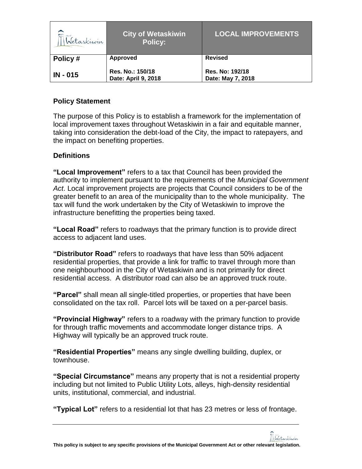| $\nabla$ and<br>Wetaskiwin | City of Wetaskiwin'<br><b>Policy:</b>   | <b>LOCAL IMPROVEMENTS</b>            |
|----------------------------|-----------------------------------------|--------------------------------------|
| Policy#                    | Approved                                | <b>Revised</b>                       |
| $IN - 015$                 | Res. No.: 150/18<br>Date: April 9, 2018 | Res. No: 192/18<br>Date: May 7, 2018 |

## **Policy Statement**

The purpose of this Policy is to establish a framework for the implementation of local improvement taxes throughout Wetaskiwin in a fair and equitable manner, taking into consideration the debt-load of the City, the impact to ratepayers, and the impact on benefiting properties.

# **Definitions**

**"Local Improvement"** refers to a tax that Council has been provided the authority to implement pursuant to the requirements of the *Municipal Government Act*. Local improvement projects are projects that Council considers to be of the greater benefit to an area of the municipality than to the whole municipality. The tax will fund the work undertaken by the City of Wetaskiwin to improve the infrastructure benefitting the properties being taxed.

**"Local Road"** refers to roadways that the primary function is to provide direct access to adjacent land uses.

**"Distributor Road"** refers to roadways that have less than 50% adjacent residential properties, that provide a link for traffic to travel through more than one neighbourhood in the City of Wetaskiwin and is not primarily for direct residential access. A distributor road can also be an approved truck route.

**"Parcel"** shall mean all single-titled properties, or properties that have been consolidated on the tax roll. Parcel lots will be taxed on a per-parcel basis.

**"Provincial Highway"** refers to a roadway with the primary function to provide for through traffic movements and accommodate longer distance trips. A Highway will typically be an approved truck route.

**"Residential Properties"** means any single dwelling building, duplex, or townhouse.

**"Special Circumstance"** means any property that is not a residential property including but not limited to Public Utility Lots, alleys, high-density residential units, institutional, commercial, and industrial.

**"Typical Lot"** refers to a residential lot that has 23 metres or less of frontage.

Wetaskiwin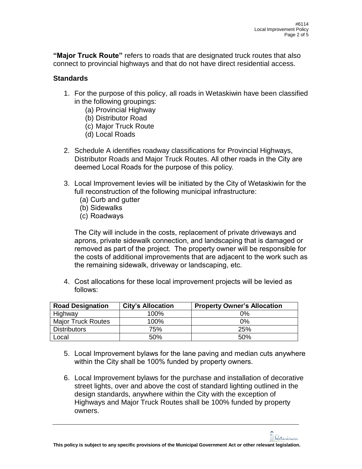Wetaskiwin

**"Major Truck Route"** refers to roads that are designated truck routes that also connect to provincial highways and that do not have direct residential access.

## **Standards**

- 1. For the purpose of this policy, all roads in Wetaskiwin have been classified in the following groupings:
	- (a) Provincial Highway
	- (b) Distributor Road
	- (c) Major Truck Route
	- (d) Local Roads
- 2. Schedule A identifies roadway classifications for Provincial Highways, Distributor Roads and Major Truck Routes. All other roads in the City are deemed Local Roads for the purpose of this policy.
- 3. Local Improvement levies will be initiated by the City of Wetaskiwin for the full reconstruction of the following municipal infrastructure:
	- (a) Curb and gutter
	- (b) Sidewalks
	- (c) Roadways

The City will include in the costs, replacement of private driveways and aprons, private sidewalk connection, and landscaping that is damaged or removed as part of the project. The property owner will be responsible for the costs of additional improvements that are adjacent to the work such as the remaining sidewalk, driveway or landscaping, etc.

4. Cost allocations for these local improvement projects will be levied as follows:

| <b>Road Designation</b>   | <b>City's Allocation</b> | <b>Property Owner's Allocation</b> |
|---------------------------|--------------------------|------------------------------------|
| Highway                   | 100%                     | 0%                                 |
| <b>Major Truck Routes</b> | 100%                     | 0%                                 |
| <b>Distributors</b>       | 75%                      | 25%                                |
| ∟ocal                     | 50%                      | 50%                                |

- 5. Local Improvement bylaws for the lane paving and median cuts anywhere within the City shall be 100% funded by property owners.
- 6. Local Improvement bylaws for the purchase and installation of decorative street lights, over and above the cost of standard lighting outlined in the design standards, anywhere within the City with the exception of Highways and Major Truck Routes shall be 100% funded by property owners.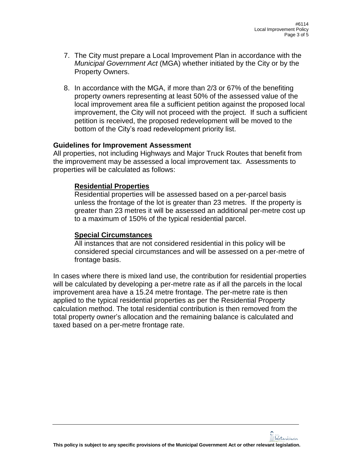- 7. The City must prepare a Local Improvement Plan in accordance with the *Municipal Government Act* (MGA) whether initiated by the City or by the Property Owners.
- 8. In accordance with the MGA, if more than 2/3 or 67% of the benefiting property owners representing at least 50% of the assessed value of the local improvement area file a sufficient petition against the proposed local improvement, the City will not proceed with the project. If such a sufficient petition is received, the proposed redevelopment will be moved to the bottom of the City's road redevelopment priority list.

### **Guidelines for Improvement Assessment**

All properties, not including Highways and Major Truck Routes that benefit from the improvement may be assessed a local improvement tax. Assessments to properties will be calculated as follows:

### **Residential Properties**

Residential properties will be assessed based on a per-parcel basis unless the frontage of the lot is greater than 23 metres. If the property is greater than 23 metres it will be assessed an additional per-metre cost up to a maximum of 150% of the typical residential parcel.

#### **Special Circumstances**

All instances that are not considered residential in this policy will be considered special circumstances and will be assessed on a per-metre of frontage basis.

In cases where there is mixed land use, the contribution for residential properties will be calculated by developing a per-metre rate as if all the parcels in the local improvement area have a 15.24 metre frontage. The per-metre rate is then applied to the typical residential properties as per the Residential Property calculation method. The total residential contribution is then removed from the total property owner's allocation and the remaining balance is calculated and taxed based on a per-metre frontage rate.

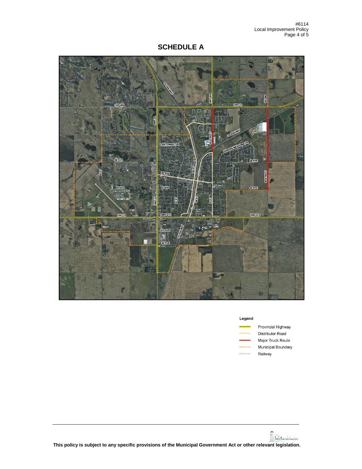**SCHEDULE A**



| Legend |                    |
|--------|--------------------|
|        | Provincial Highway |
|        | Distributor Road   |

ibutor Road Major Truck Route Municipal Boundary  $+ + + + + +$ Railway